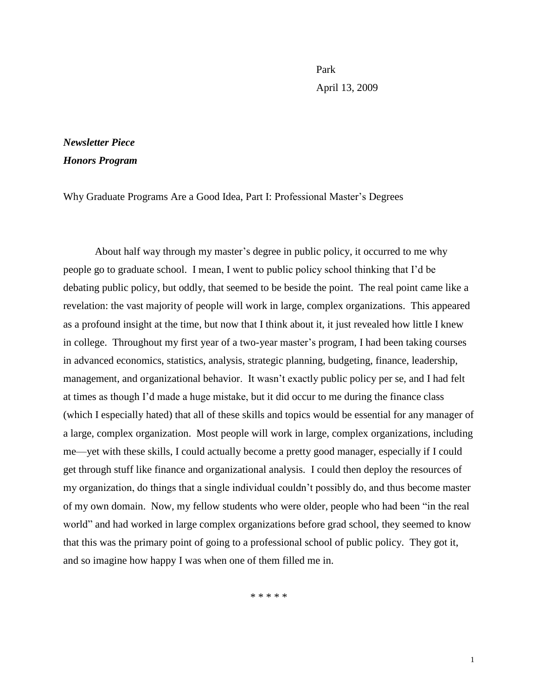Park April 13, 2009

## *Newsletter Piece Honors Program*

Why Graduate Programs Are a Good Idea, Part I: Professional Master's Degrees

About half way through my master's degree in public policy, it occurred to me why people go to graduate school. I mean, I went to public policy school thinking that I'd be debating public policy, but oddly, that seemed to be beside the point. The real point came like a revelation: the vast majority of people will work in large, complex organizations. This appeared as a profound insight at the time, but now that I think about it, it just revealed how little I knew in college. Throughout my first year of a two-year master's program, I had been taking courses in advanced economics, statistics, analysis, strategic planning, budgeting, finance, leadership, management, and organizational behavior. It wasn't exactly public policy per se, and I had felt at times as though I'd made a huge mistake, but it did occur to me during the finance class (which I especially hated) that all of these skills and topics would be essential for any manager of a large, complex organization. Most people will work in large, complex organizations, including me—yet with these skills, I could actually become a pretty good manager, especially if I could get through stuff like finance and organizational analysis. I could then deploy the resources of my organization, do things that a single individual couldn't possibly do, and thus become master of my own domain. Now, my fellow students who were older, people who had been "in the real world" and had worked in large complex organizations before grad school, they seemed to know that this was the primary point of going to a professional school of public policy. They got it, and so imagine how happy I was when one of them filled me in.

\* \* \* \* \*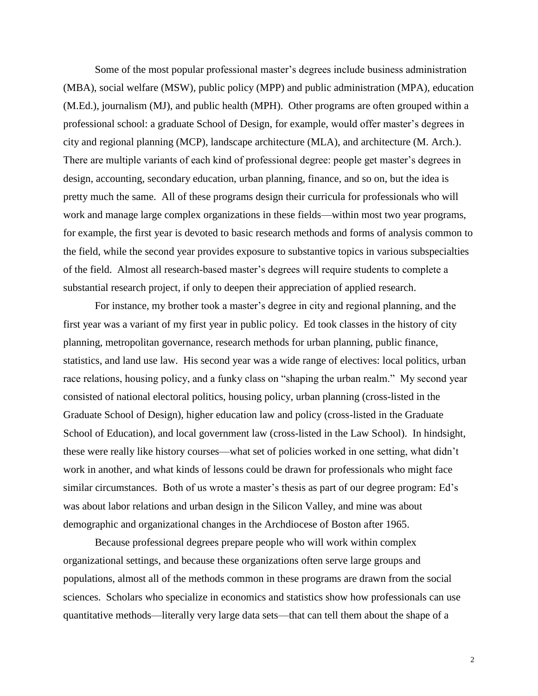Some of the most popular professional master's degrees include business administration (MBA), social welfare (MSW), public policy (MPP) and public administration (MPA), education (M.Ed.), journalism (MJ), and public health (MPH). Other programs are often grouped within a professional school: a graduate School of Design, for example, would offer master's degrees in city and regional planning (MCP), landscape architecture (MLA), and architecture (M. Arch.). There are multiple variants of each kind of professional degree: people get master's degrees in design, accounting, secondary education, urban planning, finance, and so on, but the idea is pretty much the same. All of these programs design their curricula for professionals who will work and manage large complex organizations in these fields—within most two year programs, for example, the first year is devoted to basic research methods and forms of analysis common to the field, while the second year provides exposure to substantive topics in various subspecialties of the field. Almost all research-based master's degrees will require students to complete a substantial research project, if only to deepen their appreciation of applied research.

For instance, my brother took a master's degree in city and regional planning, and the first year was a variant of my first year in public policy. Ed took classes in the history of city planning, metropolitan governance, research methods for urban planning, public finance, statistics, and land use law. His second year was a wide range of electives: local politics, urban race relations, housing policy, and a funky class on "shaping the urban realm." My second year consisted of national electoral politics, housing policy, urban planning (cross-listed in the Graduate School of Design), higher education law and policy (cross-listed in the Graduate School of Education), and local government law (cross-listed in the Law School). In hindsight, these were really like history courses—what set of policies worked in one setting, what didn't work in another, and what kinds of lessons could be drawn for professionals who might face similar circumstances. Both of us wrote a master's thesis as part of our degree program: Ed's was about labor relations and urban design in the Silicon Valley, and mine was about demographic and organizational changes in the Archdiocese of Boston after 1965.

Because professional degrees prepare people who will work within complex organizational settings, and because these organizations often serve large groups and populations, almost all of the methods common in these programs are drawn from the social sciences. Scholars who specialize in economics and statistics show how professionals can use quantitative methods—literally very large data sets—that can tell them about the shape of a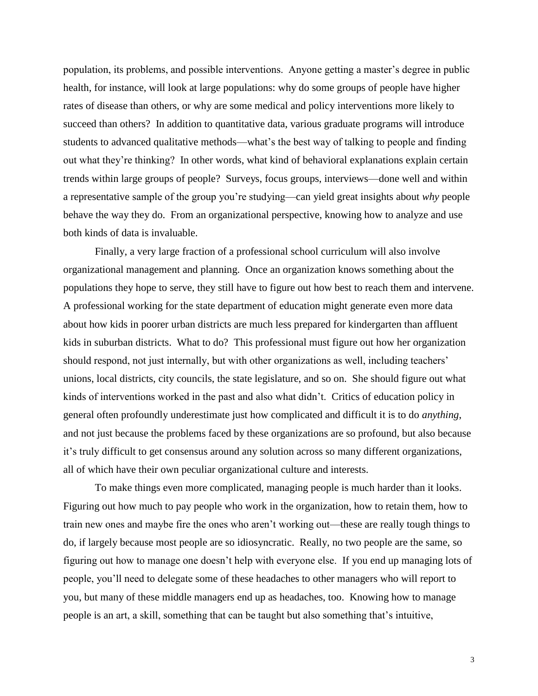population, its problems, and possible interventions. Anyone getting a master's degree in public health, for instance, will look at large populations: why do some groups of people have higher rates of disease than others, or why are some medical and policy interventions more likely to succeed than others? In addition to quantitative data, various graduate programs will introduce students to advanced qualitative methods—what's the best way of talking to people and finding out what they're thinking? In other words, what kind of behavioral explanations explain certain trends within large groups of people? Surveys, focus groups, interviews—done well and within a representative sample of the group you're studying—can yield great insights about *why* people behave the way they do. From an organizational perspective, knowing how to analyze and use both kinds of data is invaluable.

Finally, a very large fraction of a professional school curriculum will also involve organizational management and planning. Once an organization knows something about the populations they hope to serve, they still have to figure out how best to reach them and intervene. A professional working for the state department of education might generate even more data about how kids in poorer urban districts are much less prepared for kindergarten than affluent kids in suburban districts. What to do? This professional must figure out how her organization should respond, not just internally, but with other organizations as well, including teachers' unions, local districts, city councils, the state legislature, and so on. She should figure out what kinds of interventions worked in the past and also what didn't. Critics of education policy in general often profoundly underestimate just how complicated and difficult it is to do *anything*, and not just because the problems faced by these organizations are so profound, but also because it's truly difficult to get consensus around any solution across so many different organizations, all of which have their own peculiar organizational culture and interests.

To make things even more complicated, managing people is much harder than it looks. Figuring out how much to pay people who work in the organization, how to retain them, how to train new ones and maybe fire the ones who aren't working out—these are really tough things to do, if largely because most people are so idiosyncratic. Really, no two people are the same, so figuring out how to manage one doesn't help with everyone else. If you end up managing lots of people, you'll need to delegate some of these headaches to other managers who will report to you, but many of these middle managers end up as headaches, too. Knowing how to manage people is an art, a skill, something that can be taught but also something that's intuitive,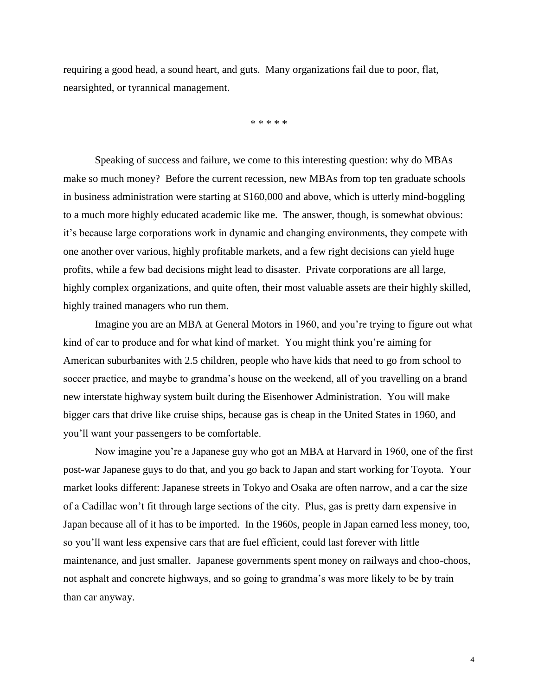requiring a good head, a sound heart, and guts. Many organizations fail due to poor, flat, nearsighted, or tyrannical management.

\* \* \* \* \*

Speaking of success and failure, we come to this interesting question: why do MBAs make so much money? Before the current recession, new MBAs from top ten graduate schools in business administration were starting at \$160,000 and above, which is utterly mind-boggling to a much more highly educated academic like me. The answer, though, is somewhat obvious: it's because large corporations work in dynamic and changing environments, they compete with one another over various, highly profitable markets, and a few right decisions can yield huge profits, while a few bad decisions might lead to disaster. Private corporations are all large, highly complex organizations, and quite often, their most valuable assets are their highly skilled, highly trained managers who run them.

Imagine you are an MBA at General Motors in 1960, and you're trying to figure out what kind of car to produce and for what kind of market. You might think you're aiming for American suburbanites with 2.5 children, people who have kids that need to go from school to soccer practice, and maybe to grandma's house on the weekend, all of you travelling on a brand new interstate highway system built during the Eisenhower Administration. You will make bigger cars that drive like cruise ships, because gas is cheap in the United States in 1960, and you'll want your passengers to be comfortable.

Now imagine you're a Japanese guy who got an MBA at Harvard in 1960, one of the first post-war Japanese guys to do that, and you go back to Japan and start working for Toyota. Your market looks different: Japanese streets in Tokyo and Osaka are often narrow, and a car the size of a Cadillac won't fit through large sections of the city. Plus, gas is pretty darn expensive in Japan because all of it has to be imported. In the 1960s, people in Japan earned less money, too, so you'll want less expensive cars that are fuel efficient, could last forever with little maintenance, and just smaller. Japanese governments spent money on railways and choo-choos, not asphalt and concrete highways, and so going to grandma's was more likely to be by train than car anyway.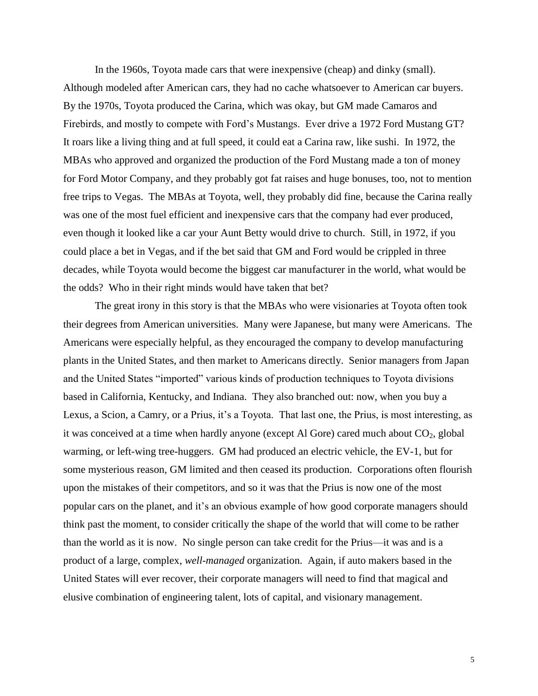In the 1960s, Toyota made cars that were inexpensive (cheap) and dinky (small). Although modeled after American cars, they had no cache whatsoever to American car buyers. By the 1970s, Toyota produced the Carina, which was okay, but GM made Camaros and Firebirds, and mostly to compete with Ford's Mustangs. Ever drive a 1972 Ford Mustang GT? It roars like a living thing and at full speed, it could eat a Carina raw, like sushi. In 1972, the MBAs who approved and organized the production of the Ford Mustang made a ton of money for Ford Motor Company, and they probably got fat raises and huge bonuses, too, not to mention free trips to Vegas. The MBAs at Toyota, well, they probably did fine, because the Carina really was one of the most fuel efficient and inexpensive cars that the company had ever produced, even though it looked like a car your Aunt Betty would drive to church. Still, in 1972, if you could place a bet in Vegas, and if the bet said that GM and Ford would be crippled in three decades, while Toyota would become the biggest car manufacturer in the world, what would be the odds? Who in their right minds would have taken that bet?

The great irony in this story is that the MBAs who were visionaries at Toyota often took their degrees from American universities. Many were Japanese, but many were Americans. The Americans were especially helpful, as they encouraged the company to develop manufacturing plants in the United States, and then market to Americans directly. Senior managers from Japan and the United States "imported" various kinds of production techniques to Toyota divisions based in California, Kentucky, and Indiana. They also branched out: now, when you buy a Lexus, a Scion, a Camry, or a Prius, it's a Toyota. That last one, the Prius, is most interesting, as it was conceived at a time when hardly anyone (except Al Gore) cared much about  $CO<sub>2</sub>$ , global warming, or left-wing tree-huggers. GM had produced an electric vehicle, the EV-1, but for some mysterious reason, GM limited and then ceased its production. Corporations often flourish upon the mistakes of their competitors, and so it was that the Prius is now one of the most popular cars on the planet, and it's an obvious example of how good corporate managers should think past the moment, to consider critically the shape of the world that will come to be rather than the world as it is now. No single person can take credit for the Prius—it was and is a product of a large, complex, *well-managed* organization. Again, if auto makers based in the United States will ever recover, their corporate managers will need to find that magical and elusive combination of engineering talent, lots of capital, and visionary management.